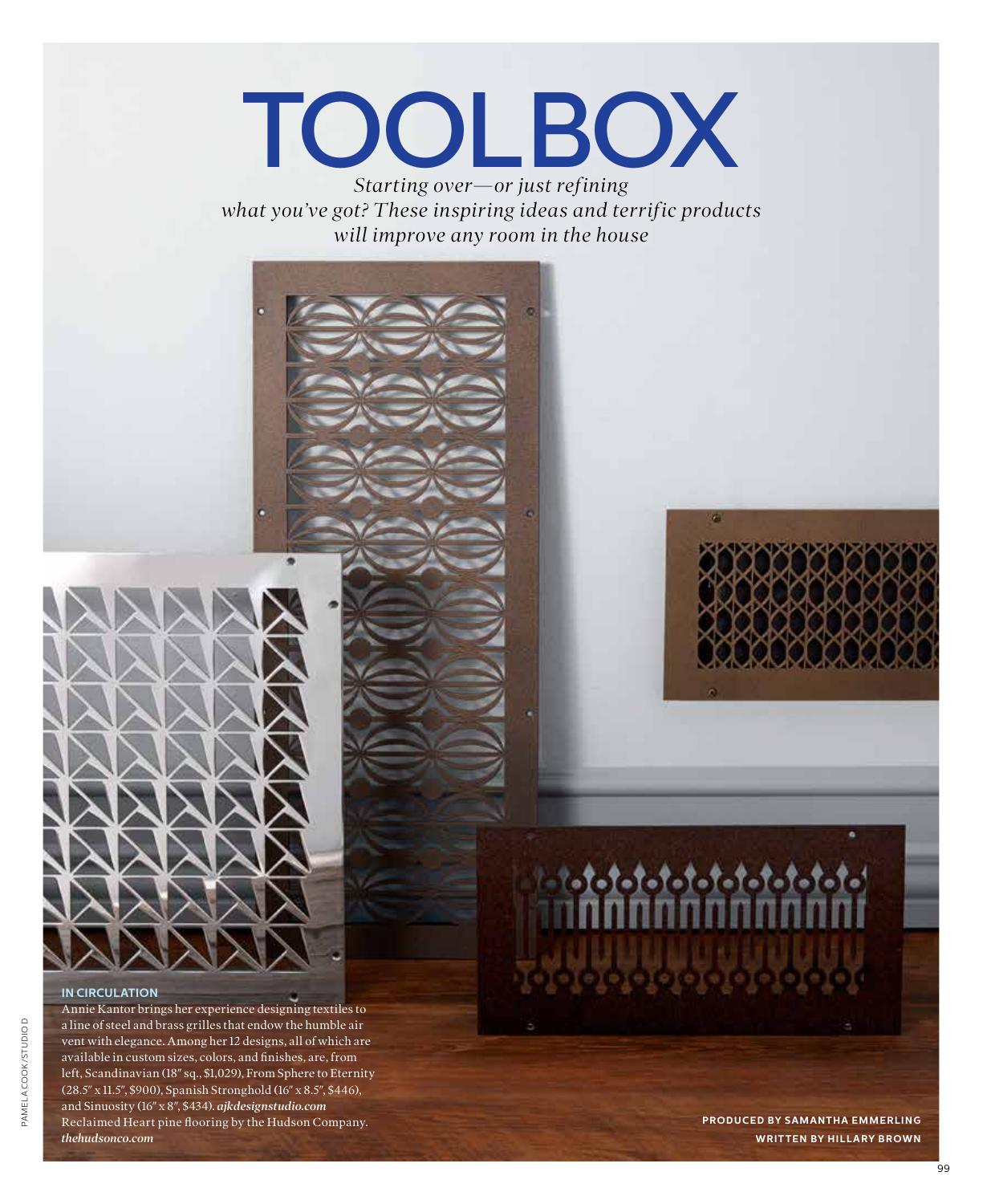# TOOLBOX

*Starting over—or just refining what you've got? These inspiring ideas and terrific products will improve any room in the house*



 $-1 - 1 - 1 - 1 - 1 - 1 - 1 - 1$ 

#### **IN CIRCULATION**

Annie Kantor brings her experience designing textiles to a line of steel and brass grilles that endow the humble air vent with elegance. Among her 12 designs, all of which are available in custom sizes, colors, and finishes, are, from left, Scandinavian (18″ sq., \$1,029), From Sphere to Eternity (28.5″ x 11.5″, \$900), Spanish Stronghold (16″ x 8.5″, \$446), and Sinuosity (16″ x 8″, \$434). *ajkdesignstudio.com* Reclaimed Heart pine flooring by the Hudson Company. *thehudsonco.com*

**PRODUCED BY SAMANTHA EMMERLING WRITTEN BY HILLARY BROWN**